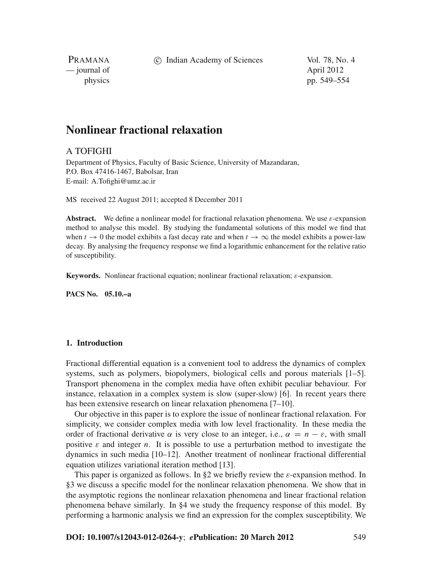c Indian Academy of Sciences Vol. 78, No. 4

PRAMANA — journal of April 2012

physics pp. 549–554

# **Nonlinear fractional relaxation**

### A TOFIGHI

Department of Physics, Faculty of Basic Science, University of Mazandaran, P.O. Box 47416-1467, Babolsar, Iran E-mail: A.Tofighi@umz.ac.ir

MS received 22 August 2011; accepted 8 December 2011

**Abstract.** We define a nonlinear model for fractional relaxation phenomena. We use  $\varepsilon$ -expansion method to analyse this model. By studying the fundamental solutions of this model we find that when  $t \to 0$  the model exhibits a fast decay rate and when  $t \to \infty$  the model exhibits a power-law decay. By analysing the frequency response we find a logarithmic enhancement for the relative ratio of susceptibility.

**Keywords.** Nonlinear fractional equation; nonlinear fractional relaxation; ε-expansion.

**PACS No. 05.10.–a**

# **1. Introduction**

Fractional differential equation is a convenient tool to address the dynamics of complex systems, such as polymers, biopolymers, biological cells and porous materials [1–5]. Transport phenomena in the complex media have often exhibit peculiar behaviour. For instance, relaxation in a complex system is slow (super-slow) [6]. In recent years there has been extensive research on linear relaxation phenomena [7–10].

Our objective in this paper is to explore the issue of nonlinear fractional relaxation. For simplicity, we consider complex media with low level fractionality. In these media the order of fractional derivative  $\alpha$  is very close to an integer, i.e.,  $\alpha = n - \varepsilon$ , with small positive  $\varepsilon$  and integer *n*. It is possible to use a perturbation method to investigate the dynamics in such media [10–12]. Another treatment of nonlinear fractional differential equation utilizes variational iteration method [13].

This paper is organized as follows. In  $\S2$  we briefly review the  $\varepsilon$ -expansion method. In §3 we discuss a specific model for the nonlinear relaxation phenomena. We show that in the asymptotic regions the nonlinear relaxation phenomena and linear fractional relation phenomena behave similarly. In §4 we study the frequency response of this model. By performing a harmonic analysis we find an expression for the complex susceptibility. We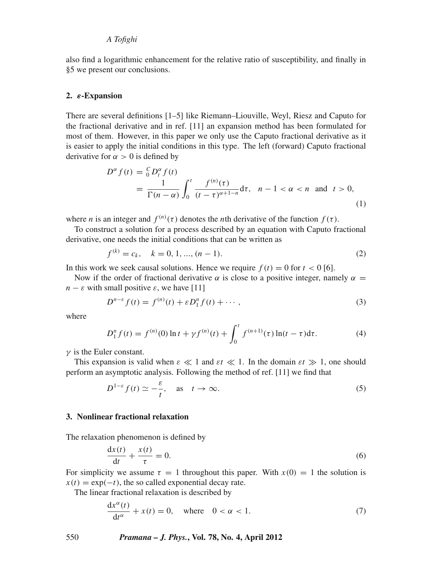#### *A Tofighi*

also find a logarithmic enhancement for the relative ratio of susceptibility, and finally in §5 we present our conclusions.

#### **2.** *ε***-Expansion**

There are several definitions [1–5] like Riemann–Liouville, Weyl, Riesz and Caputo for the fractional derivative and in ref. [11] an expansion method has been formulated for most of them. However, in this paper we only use the Caputo fractional derivative as it is easier to apply the initial conditions in this type. The left (forward) Caputo fractional derivative for  $\alpha > 0$  is defined by

$$
D^{\alpha} f(t) = \frac{C}{0} D_t^{\alpha} f(t)
$$
  
= 
$$
\frac{1}{\Gamma(n - \alpha)} \int_0^t \frac{f^{(n)}(\tau)}{(t - \tau)^{\alpha + 1 - n}} d\tau, \quad n - 1 < \alpha < n \text{ and } t > 0,
$$
 (1)

where *n* is an integer and  $f^{(n)}(\tau)$  denotes the *n*th derivative of the function  $f(\tau)$ .

To construct a solution for a process described by an equation with Caputo fractional derivative, one needs the initial conditions that can be written as

$$
f^{(k)} = c_k, \quad k = 0, 1, ..., (n - 1).
$$
 (2)

In this work we seek causal solutions. Hence we require  $f(t) = 0$  for  $t < 0$  [6].

Now if the order of fractional derivative  $\alpha$  is close to a positive integer, namely  $\alpha =$  $n - \varepsilon$  with small positive  $\varepsilon$ , we have [11]

$$
D^{n-\varepsilon} f(t) = f^{(n)}(t) + \varepsilon D_1^n f(t) + \cdots, \tag{3}
$$

where

$$
D_1^n f(t) = f^{(n)}(0) \ln t + \gamma f^{(n)}(t) + \int_0^t f^{(n+1)}(\tau) \ln(t - \tau) d\tau.
$$
 (4)

 $\nu$  is the Euler constant.

This expansion is valid when  $\varepsilon \ll 1$  and  $\varepsilon t \ll 1$ . In the domain  $\varepsilon t \gg 1$ , one should perform an asymptotic analysis. Following the method of ref. [11] we find that

$$
D^{1-\varepsilon} f(t) \simeq -\frac{\varepsilon}{t}, \quad \text{as} \quad t \to \infty. \tag{5}
$$

#### **3. Nonlinear fractional relaxation**

The relaxation phenomenon is defined by

$$
\frac{\mathrm{d}x(t)}{\mathrm{d}t} + \frac{x(t)}{\tau} = 0.
$$
\n<sup>(6)</sup>

For simplicity we assume  $\tau = 1$  throughout this paper. With  $x(0) = 1$  the solution is  $x(t) = \exp(-t)$ , the so called exponential decay rate.

The linear fractional relaxation is described by

$$
\frac{dx^{\alpha}(t)}{dt^{\alpha}} + x(t) = 0, \text{ where } 0 < \alpha < 1.
$$
 (7)

550 *Pramana – J. Phys.***, Vol. 78, No. 4, April 2012**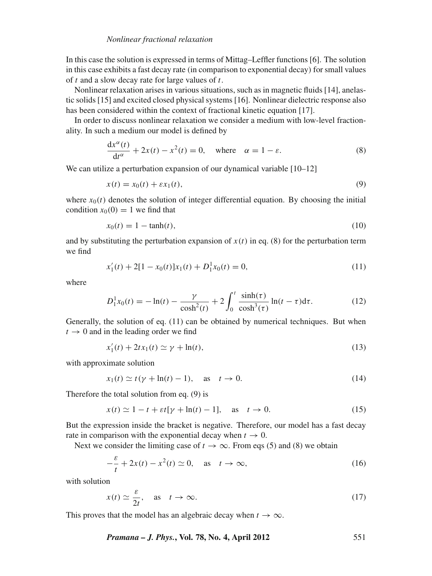In this case the solution is expressed in terms of Mittag–Leffler functions [6]. The solution in this case exhibits a fast decay rate (in comparison to exponential decay) for small values of *t* and a slow decay rate for large values of *t*.

Nonlinear relaxation arises in various situations, such as in magnetic fluids [14], anelastic solids [15] and excited closed physical systems [16]. Nonlinear dielectric response also has been considered within the context of fractional kinetic equation [17].

In order to discuss nonlinear relaxation we consider a medium with low-level fractionality. In such a medium our model is defined by

$$
\frac{dx^{\alpha}(t)}{dt^{\alpha}} + 2x(t) - x^{2}(t) = 0, \text{ where } \alpha = 1 - \varepsilon.
$$
 (8)

We can utilize a perturbation expansion of our dynamical variable [10–12]

$$
x(t) = x_0(t) + \varepsilon x_1(t),\tag{9}
$$

where  $x<sub>0</sub>(t)$  denotes the solution of integer differential equation. By choosing the initial condition  $x_0(0) = 1$  we find that

$$
x_0(t) = 1 - \tanh(t),
$$
\n(10)

and by substituting the perturbation expansion of  $x(t)$  in eq. (8) for the perturbation term we find

$$
x_1'(t) + 2[1 - x_0(t)]x_1(t) + D_1^1 x_0(t) = 0,
$$
\n(11)

where

$$
D_1^1 x_0(t) = -\ln(t) - \frac{\gamma}{\cosh^2(t)} + 2\int_0^t \frac{\sinh(\tau)}{\cosh^3(\tau)} \ln(t - \tau) d\tau.
$$
 (12)

Generally, the solution of eq. (11) can be obtained by numerical techniques. But when  $t \rightarrow 0$  and in the leading order we find

$$
x_1'(t) + 2tx_1(t) \simeq \gamma + \ln(t),\tag{13}
$$

with approximate solution

$$
x_1(t) \simeq t(\gamma + \ln(t) - 1), \quad \text{as} \quad t \to 0. \tag{14}
$$

Therefore the total solution from eq. (9) is

$$
x(t) \simeq 1 - t + \varepsilon t[\gamma + \ln(t) - 1], \quad \text{as} \quad t \to 0. \tag{15}
$$

But the expression inside the bracket is negative. Therefore, our model has a fast decay rate in comparison with the exponential decay when  $t \to 0$ .

Next we consider the limiting case of  $t \to \infty$ . From eqs (5) and (8) we obtain

$$
-\frac{\varepsilon}{t} + 2x(t) - x^2(t) \simeq 0, \quad \text{as} \quad t \to \infty,
$$
 (16)

with solution

$$
x(t) \simeq \frac{\varepsilon}{2t}, \quad \text{as} \quad t \to \infty. \tag{17}
$$

This proves that the model has an algebraic decay when  $t \to \infty$ .

*Pramana – J. Phys.***, Vol. 78, No. 4, April 2012** 551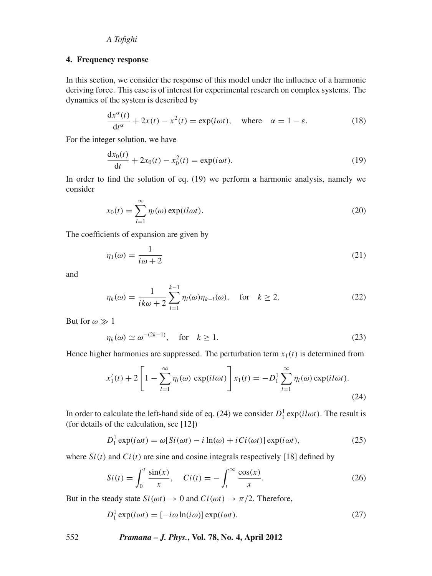### *A Tofighi*

#### **4. Frequency response**

In this section, we consider the response of this model under the influence of a harmonic deriving force. This case is of interest for experimental research on complex systems. The dynamics of the system is described by

$$
\frac{dx^{\alpha}(t)}{dt^{\alpha}} + 2x(t) - x^{2}(t) = \exp(i\omega t), \text{ where } \alpha = 1 - \varepsilon.
$$
 (18)

For the integer solution, we have

$$
\frac{dx_0(t)}{dt} + 2x_0(t) - x_0^2(t) = \exp(i\omega t).
$$
 (19)

In order to find the solution of eq. (19) we perform a harmonic analysis, namely we consider

$$
x_0(t) = \sum_{l=1}^{\infty} \eta_l(\omega) \exp(il\omega t).
$$
 (20)

The coefficients of expansion are given by

$$
\eta_1(\omega) = \frac{1}{i\omega + 2} \tag{21}
$$

and

$$
\eta_k(\omega) = \frac{1}{ik\omega + 2} \sum_{l=1}^{k-1} \eta_l(\omega) \eta_{k-l}(\omega), \quad \text{for} \quad k \ge 2. \tag{22}
$$

But for  $\omega \gg 1$ 

$$
\eta_k(\omega) \simeq \omega^{-(2k-1)}, \quad \text{for} \quad k \ge 1. \tag{23}
$$

Hence higher harmonics are suppressed. The perturbation term  $x_1(t)$  is determined from

$$
x_1'(t) + 2\left[1 - \sum_{l=1}^{\infty} \eta_l(\omega) \exp(il\omega t)\right] x_1(t) = -D_1^1 \sum_{l=1}^{\infty} \eta_l(\omega) \exp(il\omega t).
$$
\n(24)

In order to calculate the left-hand side of eq. (24) we consider  $D_1^1 \exp(i \omega t)$ . The result is (for details of the calculation, see [12])

$$
D_1^1 \exp(i\omega t) = \omega[Si(\omega t) - i \ln(\omega) + i Ci(\omega t)] \exp(i\omega t), \qquad (25)
$$

where  $Si(t)$  and  $Ci(t)$  are sine and cosine integrals respectively [18] defined by

$$
Si(t) = \int_0^t \frac{\sin(x)}{x}, \quad Ci(t) = -\int_t^\infty \frac{\cos(x)}{x}.\tag{26}
$$

But in the steady state  $Si(\omega t) \rightarrow 0$  and  $Ci(\omega t) \rightarrow \pi/2$ . Therefore,

$$
D_1^1 \exp(i\omega t) = [-i\omega \ln(i\omega)] \exp(i\omega t). \tag{27}
$$

552 *Pramana – J. Phys.***, Vol. 78, No. 4, April 2012**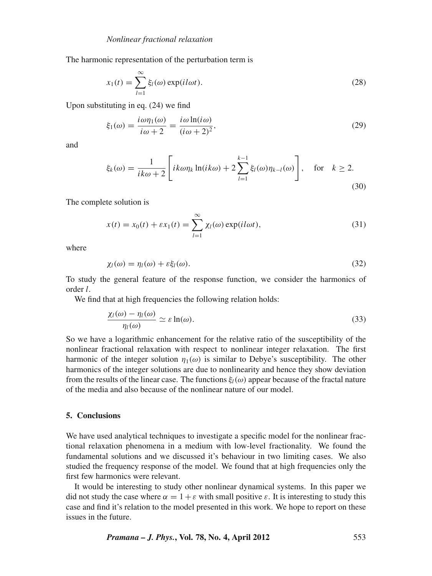The harmonic representation of the perturbation term is

$$
x_1(t) = \sum_{l=1}^{\infty} \xi_l(\omega) \exp(il\omega t).
$$
 (28)

Upon substituting in eq. (24) we find

$$
\xi_1(\omega) = \frac{i\omega\eta_1(\omega)}{i\omega + 2} = \frac{i\omega \ln(i\omega)}{(i\omega + 2)^2},\tag{29}
$$

and

$$
\xi_k(\omega) = \frac{1}{ik\omega + 2} \left[ ik\omega \eta_k \ln(ik\omega) + 2 \sum_{l=1}^{k-1} \xi_l(\omega) \eta_{k-l}(\omega) \right], \text{ for } k \ge 2.
$$
\n(30)

The complete solution is

$$
x(t) = x_0(t) + \varepsilon x_1(t) = \sum_{l=1}^{\infty} \chi_l(\omega) \exp(il\omega t),
$$
\n(31)

where

$$
\chi_l(\omega) = \eta_l(\omega) + \varepsilon \xi_l(\omega). \tag{32}
$$

To study the general feature of the response function, we consider the harmonics of order *l*.

We find that at high frequencies the following relation holds:

$$
\frac{\chi_l(\omega) - \eta_l(\omega)}{\eta_l(\omega)} \simeq \varepsilon \ln(\omega). \tag{33}
$$

So we have a logarithmic enhancement for the relative ratio of the susceptibility of the nonlinear fractional relaxation with respect to nonlinear integer relaxation. The first harmonic of the integer solution  $\eta_1(\omega)$  is similar to Debye's susceptibility. The other harmonics of the integer solutions are due to nonlinearity and hence they show deviation from the results of the linear case. The functions  $\xi_l(\omega)$  appear because of the fractal nature of the media and also because of the nonlinear nature of our model.

# **5. Conclusions**

We have used analytical techniques to investigate a specific model for the nonlinear fractional relaxation phenomena in a medium with low-level fractionality. We found the fundamental solutions and we discussed it's behaviour in two limiting cases. We also studied the frequency response of the model. We found that at high frequencies only the first few harmonics were relevant.

It would be interesting to study other nonlinear dynamical systems. In this paper we did not study the case where  $\alpha = 1 + \varepsilon$  with small positive  $\varepsilon$ . It is interesting to study this case and find it's relation to the model presented in this work. We hope to report on these issues in the future.

*Pramana – J. Phys.***, Vol. 78, No. 4, April 2012** 553